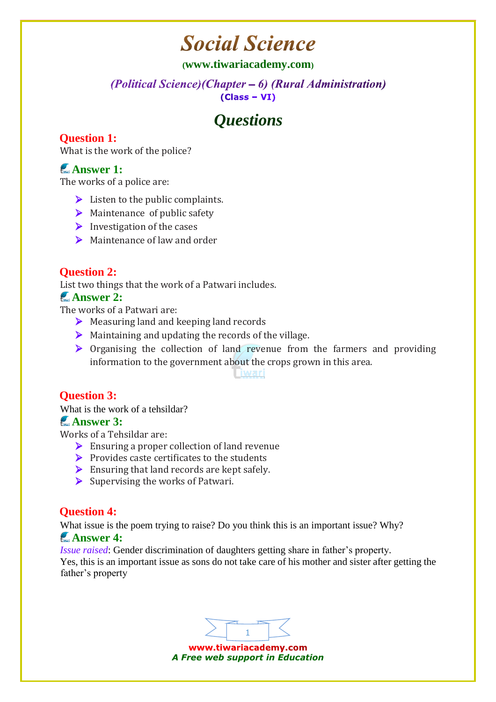# **Social Science**

#### **([www.tiwariacademy.com](http://www.tiwariacademy.com/))**

(Political Science) (Chapter – 6) (Rural Administration)  $(Class - VI)$ 

# *Questions*

# **Question 1:**

What is the work of the police?

# **Answer 1:**

The works of a police are:

- $\triangleright$  Listen to the public complaints.
- $\triangleright$  Maintenance of public safety
- $\triangleright$  Investigation of the cases
- $\triangleright$  Maintenance of law and order

# **Question 2:**

List two things that the work of a Patwari includes.

# **Answer 2:**

The works of a Patwari are:

- ▶ Measuring land and keeping land records
- $\triangleright$  Maintaining and updating the records of the village.
- $\triangleright$  Organising the collection of land revenue from the farmers and providing information to the government about the crops grown in this area.

Liwari

# **Question 3:**

What is the work of a tehsildar?

#### **Answer 3:**

Works of a Tehsildar are:

- $\triangleright$  Ensuring a proper collection of land revenue
- $\triangleright$  Provides caste certificates to the students
- $\triangleright$  Ensuring that land records are kept safely.
- $\triangleright$  Supervising the works of Patwari.

# **Question 4:**

What issue is the poem trying to raise? Do you think this is an important issue? Why?

#### **Answer 4:**

*Issue raised*: Gender discrimination of daughters getting share in father's property.

Yes, this is an important issue as sons do not take care of his mother and sister after getting the father's property



www.tiwariacademy.com *A Free web support in Education*